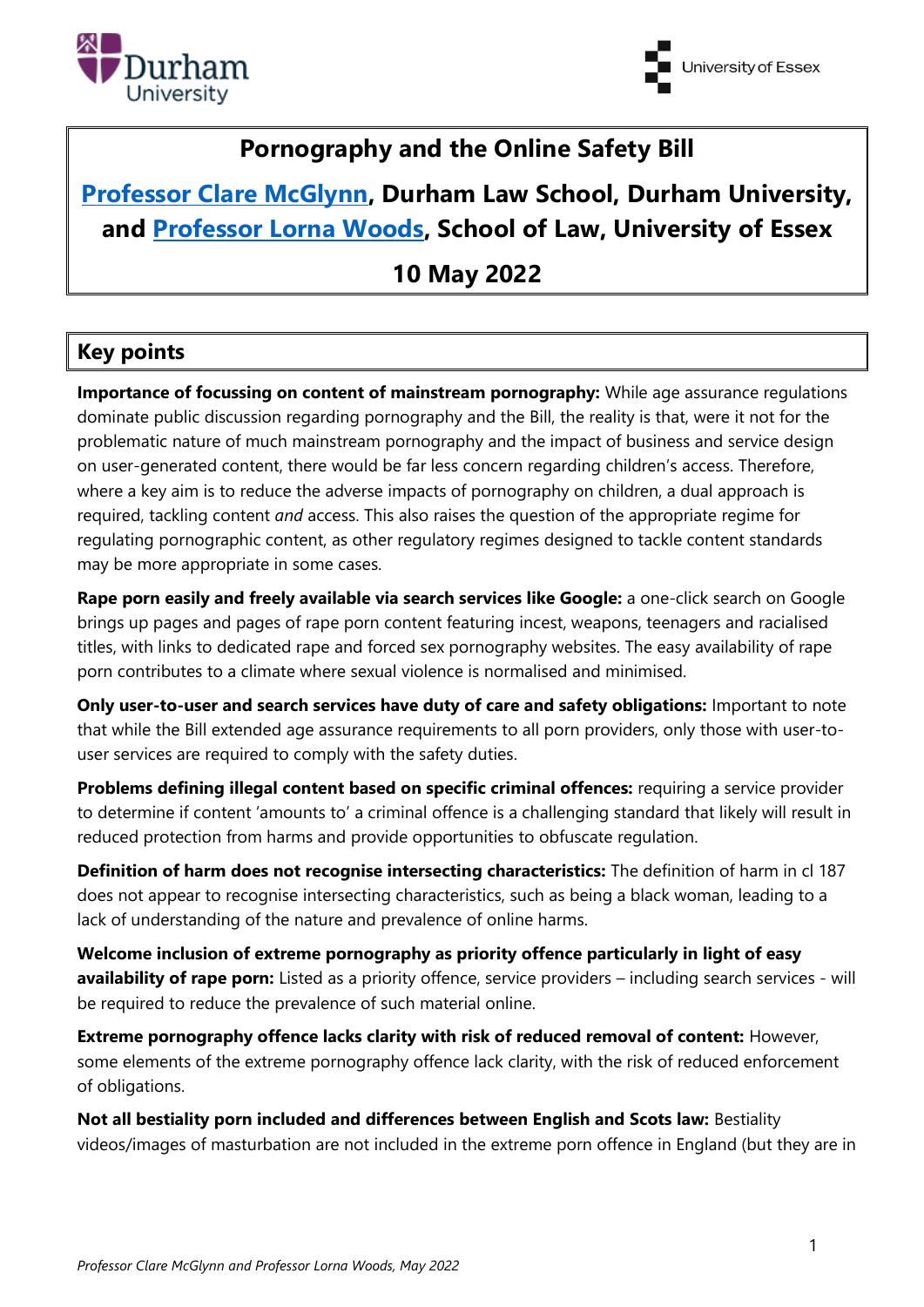



# **Pornography and the Online Safety Bill**

# **[Professor Clare McGlynn,](https://claremcglynn.com/) Durham Law School, Durham University, and [Professor Lorna Woods,](https://www.essex.ac.uk/people/woods91406/lorna-woods) School of Law, University of Essex**

# **10 May 2022**

## **Key points**

**Importance of focussing on content of mainstream pornography:** While age assurance regulations dominate public discussion regarding pornography and the Bill, the reality is that, were it not for the problematic nature of much mainstream pornography and the impact of business and service design on user-generated content, there would be far less concern regarding children's access. Therefore, where a key aim is to reduce the adverse impacts of pornography on children, a dual approach is required, tackling content *and* access. This also raises the question of the appropriate regime for regulating pornographic content, as other regulatory regimes designed to tackle content standards may be more appropriate in some cases.

**Rape porn easily and freely available via search services like Google:** a one-click search on Google brings up pages and pages of rape porn content featuring incest, weapons, teenagers and racialised titles, with links to dedicated rape and forced sex pornography websites. The easy availability of rape porn contributes to a climate where sexual violence is normalised and minimised.

**Only user-to-user and search services have duty of care and safety obligations:** Important to note that while the Bill extended age assurance requirements to all porn providers, only those with user-touser services are required to comply with the safety duties.

**Problems defining illegal content based on specific criminal offences:** requiring a service provider to determine if content 'amounts to' a criminal offence is a challenging standard that likely will result in reduced protection from harms and provide opportunities to obfuscate regulation.

**Definition of harm does not recognise intersecting characteristics:** The definition of harm in cl 187 does not appear to recognise intersecting characteristics, such as being a black woman, leading to a lack of understanding of the nature and prevalence of online harms.

**Welcome inclusion of extreme pornography as priority offence particularly in light of easy availability of rape porn:** Listed as a priority offence, service providers – including search services - will be required to reduce the prevalence of such material online.

**Extreme pornography offence lacks clarity with risk of reduced removal of content:** However, some elements of the extreme pornography offence lack clarity, with the risk of reduced enforcement of obligations.

**Not all bestiality porn included and differences between English and Scots law:** Bestiality videos/images of masturbation are not included in the extreme porn offence in England (but they are in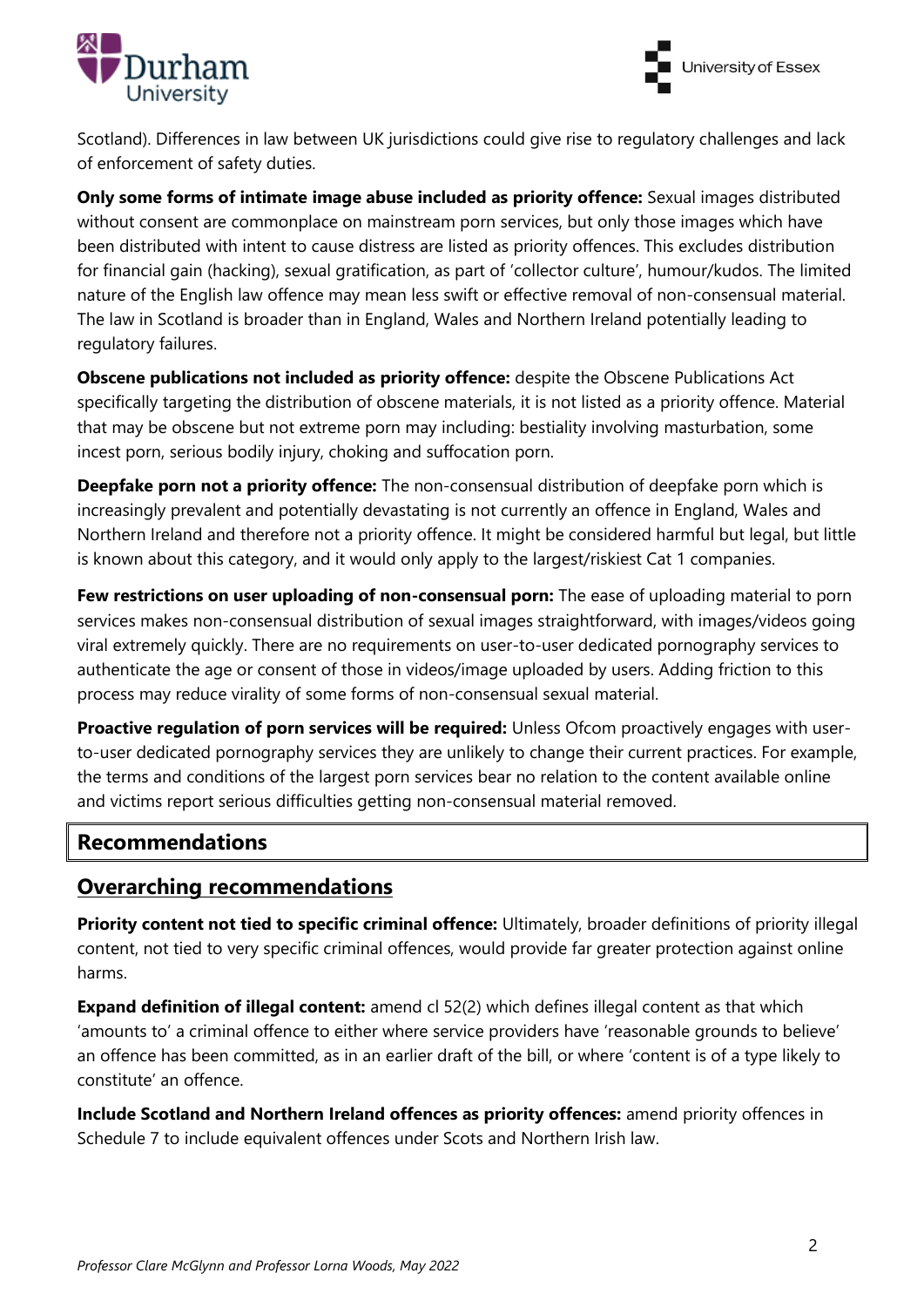



Scotland). Differences in law between UK jurisdictions could give rise to regulatory challenges and lack of enforcement of safety duties.

**Only some forms of intimate image abuse included as priority offence:** Sexual images distributed without consent are commonplace on mainstream porn services, but only those images which have been distributed with intent to cause distress are listed as priority offences. This excludes distribution for financial gain (hacking), sexual gratification, as part of 'collector culture', humour/kudos. The limited nature of the English law offence may mean less swift or effective removal of non-consensual material. The law in Scotland is broader than in England, Wales and Northern Ireland potentially leading to regulatory failures.

**Obscene publications not included as priority offence:** despite the Obscene Publications Act specifically targeting the distribution of obscene materials, it is not listed as a priority offence. Material that may be obscene but not extreme porn may including: bestiality involving masturbation, some incest porn, serious bodily injury, choking and suffocation porn.

**Deepfake porn not a priority offence:** The non-consensual distribution of deepfake porn which is increasingly prevalent and potentially devastating is not currently an offence in England, Wales and Northern Ireland and therefore not a priority offence. It might be considered harmful but legal, but little is known about this category, and it would only apply to the largest/riskiest Cat 1 companies.

**Few restrictions on user uploading of non-consensual porn:** The ease of uploading material to porn services makes non-consensual distribution of sexual images straightforward, with images/videos going viral extremely quickly. There are no requirements on user-to-user dedicated pornography services to authenticate the age or consent of those in videos/image uploaded by users. Adding friction to this process may reduce virality of some forms of non-consensual sexual material.

**Proactive regulation of porn services will be required:** Unless Ofcom proactively engages with userto-user dedicated pornography services they are unlikely to change their current practices. For example, the terms and conditions of the largest porn services bear no relation to the content available online and victims report serious difficulties getting non-consensual material removed.

## **Recommendations**

#### **Overarching recommendations**

**Priority content not tied to specific criminal offence:** Ultimately, broader definitions of priority illegal content, not tied to very specific criminal offences, would provide far greater protection against online harms.

**Expand definition of illegal content:** amend cl 52(2) which defines illegal content as that which 'amounts to' a criminal offence to either where service providers have 'reasonable grounds to believe' an offence has been committed, as in an earlier draft of the bill, or where 'content is of a type likely to constitute' an offence.

**Include Scotland and Northern Ireland offences as priority offences:** amend priority offences in Schedule 7 to include equivalent offences under Scots and Northern Irish law.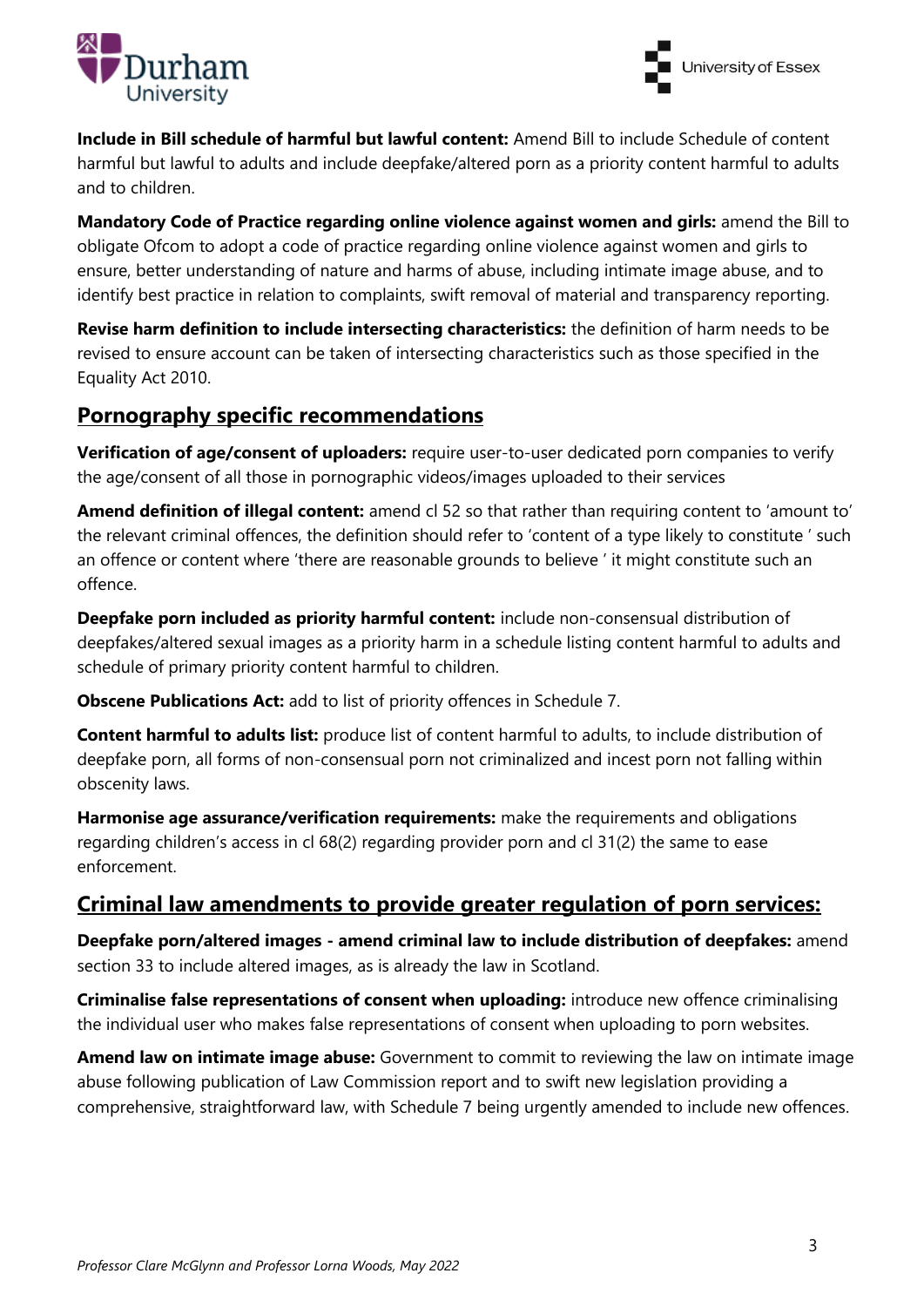



**Include in Bill schedule of harmful but lawful content:** Amend Bill to include Schedule of content harmful but lawful to adults and include deepfake/altered porn as a priority content harmful to adults and to children.

**Mandatory Code of Practice regarding online violence against women and girls:** amend the Bill to obligate Ofcom to adopt a code of practice regarding online violence against women and girls to ensure, better understanding of nature and harms of abuse, including intimate image abuse, and to identify best practice in relation to complaints, swift removal of material and transparency reporting.

**Revise harm definition to include intersecting characteristics:** the definition of harm needs to be revised to ensure account can be taken of intersecting characteristics such as those specified in the Equality Act 2010.

## **Pornography specific recommendations**

**Verification of age/consent of uploaders:** require user-to-user dedicated porn companies to verify the age/consent of all those in pornographic videos/images uploaded to their services

**Amend definition of illegal content:** amend cl 52 so that rather than requiring content to 'amount to' the relevant criminal offences, the definition should refer to 'content of a type likely to constitute ' such an offence or content where 'there are reasonable grounds to believe ' it might constitute such an offence.

**Deepfake porn included as priority harmful content:** include non-consensual distribution of deepfakes/altered sexual images as a priority harm in a schedule listing content harmful to adults and schedule of primary priority content harmful to children.

**Obscene Publications Act:** add to list of priority offences in Schedule 7.

**Content harmful to adults list:** produce list of content harmful to adults, to include distribution of deepfake porn, all forms of non-consensual porn not criminalized and incest porn not falling within obscenity laws.

**Harmonise age assurance/verification requirements:** make the requirements and obligations regarding children's access in cl 68(2) regarding provider porn and cl 31(2) the same to ease enforcement.

## **Criminal law amendments to provide greater regulation of porn services:**

**Deepfake porn/altered images - amend criminal law to include distribution of deepfakes:** amend section 33 to include altered images, as is already the law in Scotland.

**Criminalise false representations of consent when uploading:** introduce new offence criminalising the individual user who makes false representations of consent when uploading to porn websites.

**Amend law on intimate image abuse:** Government to commit to reviewing the law on intimate image abuse following publication of Law Commission report and to swift new legislation providing a comprehensive, straightforward law, with Schedule 7 being urgently amended to include new offences.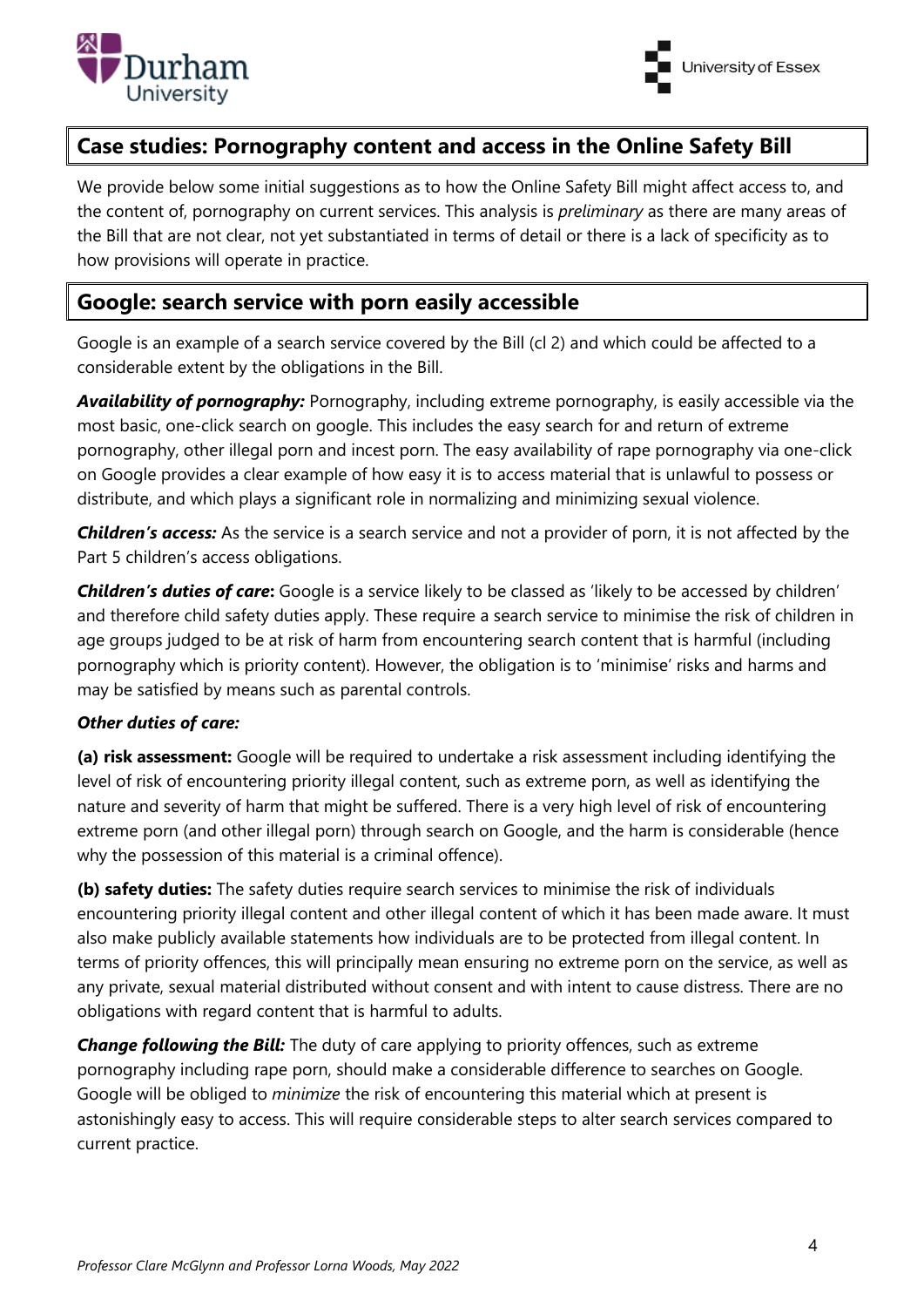

## **Case studies: Pornography content and access in the Online Safety Bill**

We provide below some initial suggestions as to how the Online Safety Bill might affect access to, and the content of, pornography on current services. This analysis is *preliminary* as there are many areas of the Bill that are not clear, not yet substantiated in terms of detail or there is a lack of specificity as to how provisions will operate in practice.

## **Google: search service with porn easily accessible**

Google is an example of a search service covered by the Bill (cl 2) and which could be affected to a considerable extent by the obligations in the Bill.

*Availability of pornography:* Pornography, including extreme pornography, is easily accessible via the most basic, one-click search on google. This includes the easy search for and return of extreme pornography, other illegal porn and incest porn. The easy availability of rape pornography via one-click on Google provides a clear example of how easy it is to access material that is unlawful to possess or distribute, and which plays a significant role in normalizing and minimizing sexual violence.

*Children's access:* As the service is a search service and not a provider of porn, it is not affected by the Part 5 children's access obligations.

*Children's duties of care***:** Google is a service likely to be classed as 'likely to be accessed by children' and therefore child safety duties apply. These require a search service to minimise the risk of children in age groups judged to be at risk of harm from encountering search content that is harmful (including pornography which is priority content). However, the obligation is to 'minimise' risks and harms and may be satisfied by means such as parental controls.

#### *Other duties of care:*

**(a) risk assessment:** Google will be required to undertake a risk assessment including identifying the level of risk of encountering priority illegal content, such as extreme porn, as well as identifying the nature and severity of harm that might be suffered. There is a very high level of risk of encountering extreme porn (and other illegal porn) through search on Google, and the harm is considerable (hence why the possession of this material is a criminal offence).

**(b) safety duties:** The safety duties require search services to minimise the risk of individuals encountering priority illegal content and other illegal content of which it has been made aware. It must also make publicly available statements how individuals are to be protected from illegal content. In terms of priority offences, this will principally mean ensuring no extreme porn on the service, as well as any private, sexual material distributed without consent and with intent to cause distress. There are no obligations with regard content that is harmful to adults.

*Change following the Bill:* The duty of care applying to priority offences, such as extreme pornography including rape porn, should make a considerable difference to searches on Google. Google will be obliged to *minimize* the risk of encountering this material which at present is astonishingly easy to access. This will require considerable steps to alter search services compared to current practice.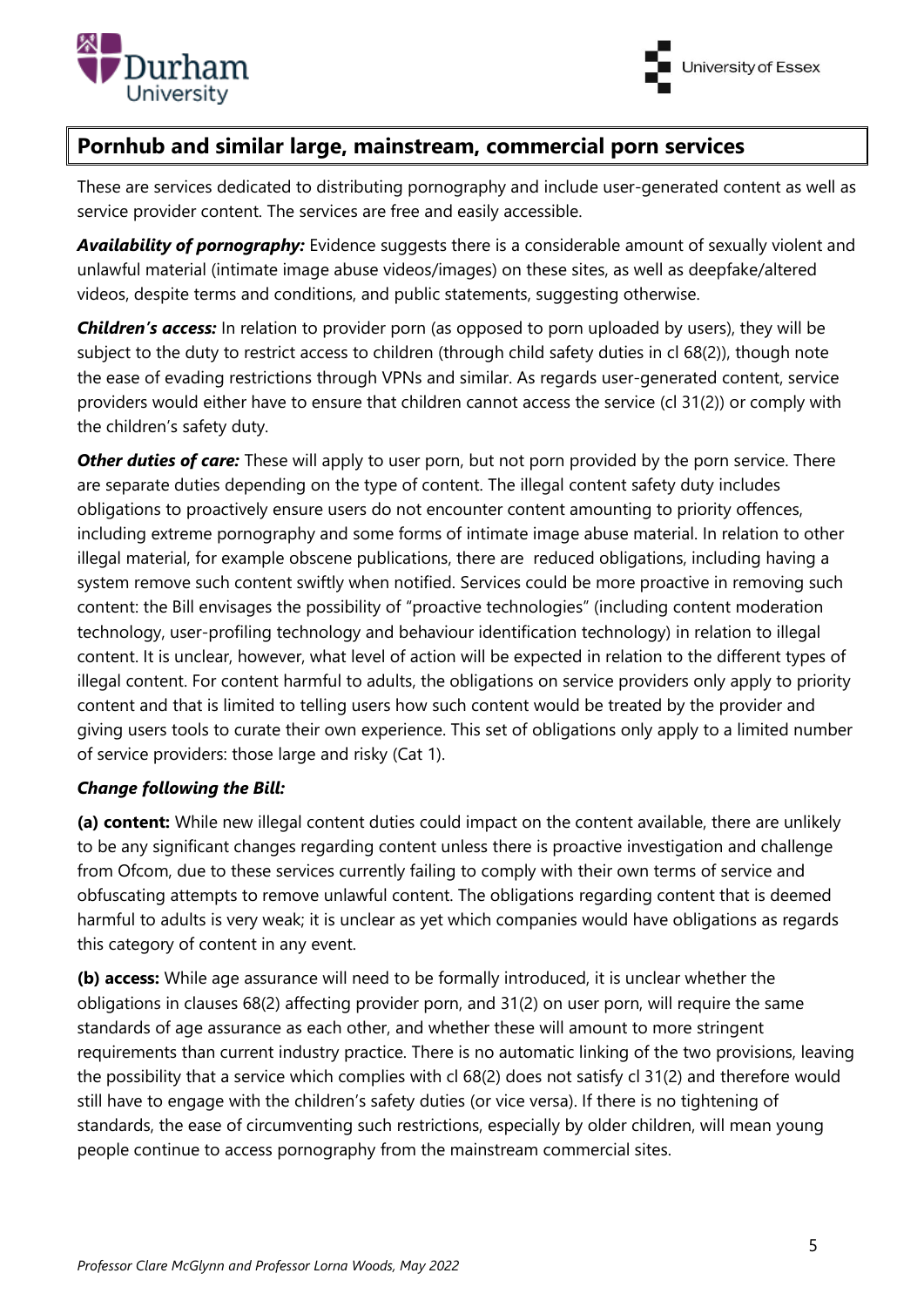



#### **Pornhub and similar large, mainstream, commercial porn services**

These are services dedicated to distributing pornography and include user-generated content as well as service provider content. The services are free and easily accessible.

*Availability of pornography:* Evidence suggests there is a considerable amount of sexually violent and unlawful material (intimate image abuse videos/images) on these sites, as well as deepfake/altered videos, despite terms and conditions, and public statements, suggesting otherwise.

*Children's access:* In relation to provider porn (as opposed to porn uploaded by users), they will be subject to the duty to restrict access to children (through child safety duties in cl 68(2)), though note the ease of evading restrictions through VPNs and similar. As regards user-generated content, service providers would either have to ensure that children cannot access the service (cl 31(2)) or comply with the children's safety duty.

**Other duties of care:** These will apply to user porn, but not porn provided by the porn service. There are separate duties depending on the type of content. The illegal content safety duty includes obligations to proactively ensure users do not encounter content amounting to priority offences, including extreme pornography and some forms of intimate image abuse material. In relation to other illegal material, for example obscene publications, there are reduced obligations, including having a system remove such content swiftly when notified. Services could be more proactive in removing such content: the Bill envisages the possibility of "proactive technologies" (including content moderation technology, user-profiling technology and behaviour identification technology) in relation to illegal content. It is unclear, however, what level of action will be expected in relation to the different types of illegal content. For content harmful to adults, the obligations on service providers only apply to priority content and that is limited to telling users how such content would be treated by the provider and giving users tools to curate their own experience. This set of obligations only apply to a limited number of service providers: those large and risky (Cat 1).

#### *Change following the Bill:*

**(a) content:** While new illegal content duties could impact on the content available, there are unlikely to be any significant changes regarding content unless there is proactive investigation and challenge from Ofcom, due to these services currently failing to comply with their own terms of service and obfuscating attempts to remove unlawful content. The obligations regarding content that is deemed harmful to adults is very weak; it is unclear as yet which companies would have obligations as regards this category of content in any event.

**(b) access:** While age assurance will need to be formally introduced, it is unclear whether the obligations in clauses 68(2) affecting provider porn, and 31(2) on user porn, will require the same standards of age assurance as each other, and whether these will amount to more stringent requirements than current industry practice. There is no automatic linking of the two provisions, leaving the possibility that a service which complies with cl 68(2) does not satisfy cl 31(2) and therefore would still have to engage with the children's safety duties (or vice versa). If there is no tightening of standards, the ease of circumventing such restrictions, especially by older children, will mean young people continue to access pornography from the mainstream commercial sites.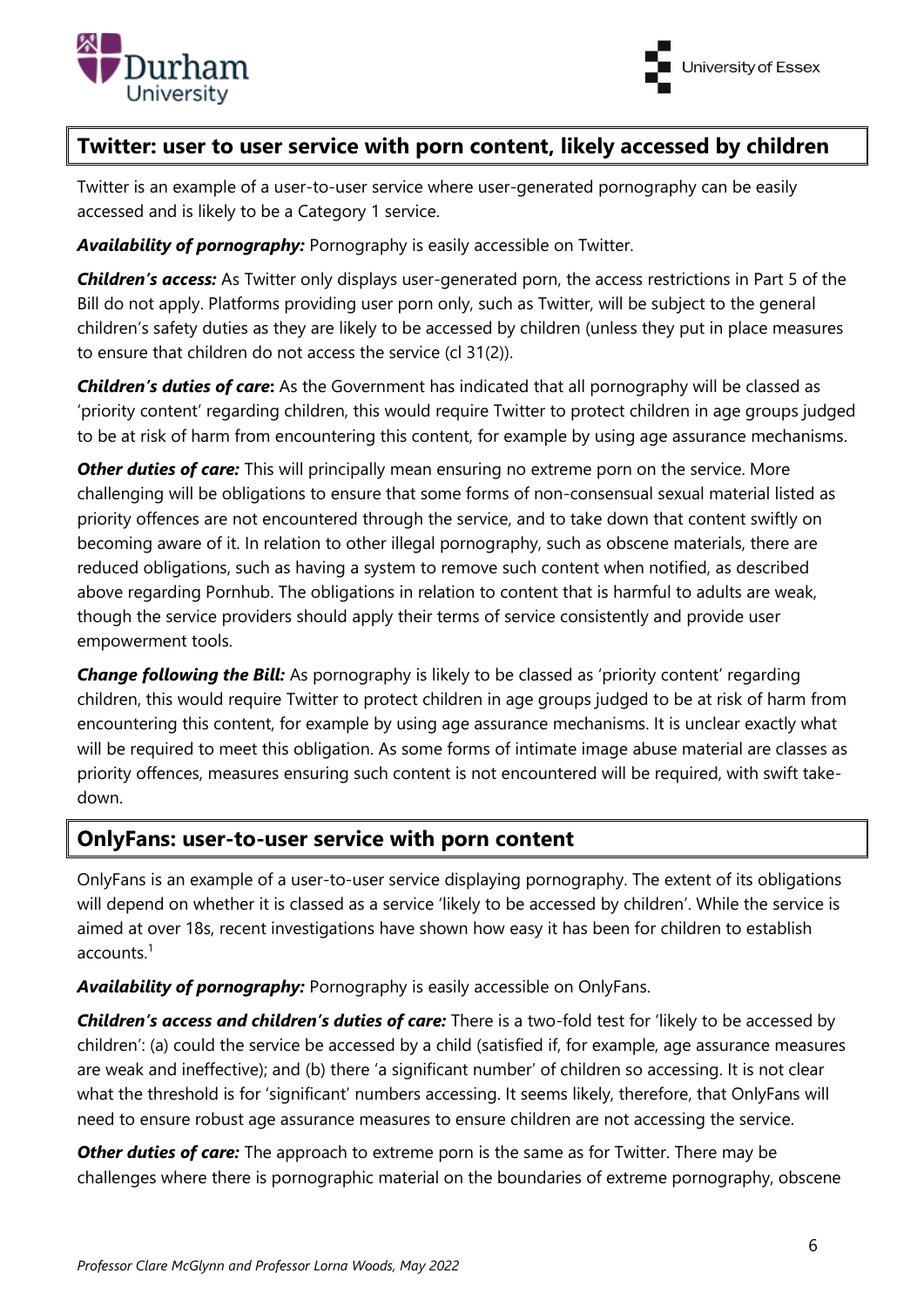



## **Twitter: user to user service with porn content, likely accessed by children**

Twitter is an example of a user-to-user service where user-generated pornography can be easily accessed and is likely to be a Category 1 service.

*Availability of pornography:* Pornography is easily accessible on Twitter.

*Children's access:* As Twitter only displays user-generated porn, the access restrictions in Part 5 of the Bill do not apply. Platforms providing user porn only, such as Twitter, will be subject to the general children's safety duties as they are likely to be accessed by children (unless they put in place measures to ensure that children do not access the service (cl 31(2)).

*Children's duties of care***:** As the Government has indicated that all pornography will be classed as 'priority content' regarding children, this would require Twitter to protect children in age groups judged to be at risk of harm from encountering this content, for example by using age assurance mechanisms.

**Other duties of care:** This will principally mean ensuring no extreme porn on the service. More challenging will be obligations to ensure that some forms of non-consensual sexual material listed as priority offences are not encountered through the service, and to take down that content swiftly on becoming aware of it. In relation to other illegal pornography, such as obscene materials, there are reduced obligations, such as having a system to remove such content when notified, as described above regarding Pornhub. The obligations in relation to content that is harmful to adults are weak, though the service providers should apply their terms of service consistently and provide user empowerment tools.

*Change following the Bill:* As pornography is likely to be classed as 'priority content' regarding children, this would require Twitter to protect children in age groups judged to be at risk of harm from encountering this content, for example by using age assurance mechanisms. It is unclear exactly what will be required to meet this obligation. As some forms of intimate image abuse material are classes as priority offences, measures ensuring such content is not encountered will be required, with swift takedown.

#### **OnlyFans: user-to-user service with porn content**

OnlyFans is an example of a user-to-user service displaying pornography. The extent of its obligations will depend on whether it is classed as a service 'likely to be accessed by children'. While the service is aimed at over 18s, recent investigations have shown how easy it has been for children to establish accounts.<sup>1</sup>

*Availability of pornography:* Pornography is easily accessible on OnlyFans.

*Children's access and children's duties of care:* There is a two-fold test for 'likely to be accessed by children': (a) could the service be accessed by a child (satisfied if, for example, age assurance measures are weak and ineffective); and (b) there 'a significant number' of children so accessing. It is not clear what the threshold is for 'significant' numbers accessing. It seems likely, therefore, that OnlyFans will need to ensure robust age assurance measures to ensure children are not accessing the service.

**Other duties of care:** The approach to extreme porn is the same as for Twitter. There may be challenges where there is pornographic material on the boundaries of extreme pornography, obscene